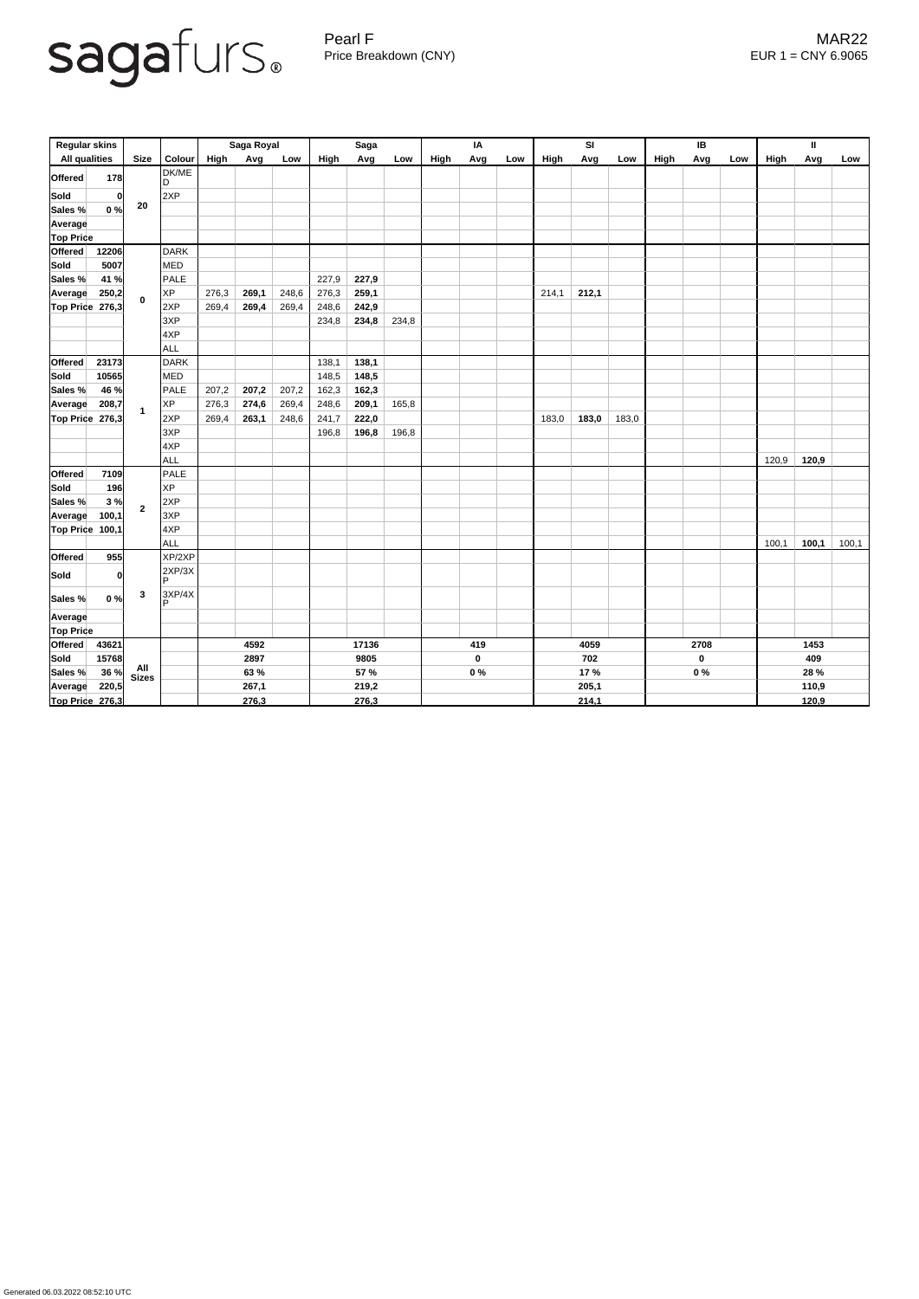

Pearl F MAR22 Price Breakdown (CNY) EUR 1 = CNY 6.9065

| <b>Regular skins</b> |       |                |                        | Saga Royal  |       |       | <b>Saga</b> |             |       | IA   |             |     | <b>SI</b> |       |       | IB   |             |     | $\mathbf{I}$ |       |       |  |
|----------------------|-------|----------------|------------------------|-------------|-------|-------|-------------|-------------|-------|------|-------------|-----|-----------|-------|-------|------|-------------|-----|--------------|-------|-------|--|
| <b>All qualities</b> |       | <b>Size</b>    | Colour                 | <b>High</b> | Avg   | Low   | High        | Avg         | Low   | High | Avg         | Low | High      | Avg   | Low   | High | Avg         | Low | <b>High</b>  | Avg   | Low   |  |
| <b>Offered</b>       | 178   |                | DK/ME<br>ID            |             |       |       |             |             |       |      |             |     |           |       |       |      |             |     |              |       |       |  |
| <b>Sold</b>          |       | 0 <br>20       | 2XP                    |             |       |       |             |             |       |      |             |     |           |       |       |      |             |     |              |       |       |  |
| Sales %              | 0%    |                |                        |             |       |       |             |             |       |      |             |     |           |       |       |      |             |     |              |       |       |  |
| Average              |       |                |                        |             |       |       |             |             |       |      |             |     |           |       |       |      |             |     |              |       |       |  |
| <b>Top Price</b>     |       |                |                        |             |       |       |             |             |       |      |             |     |           |       |       |      |             |     |              |       |       |  |
| Offered              | 12206 | $\mathbf 0$    | DARK                   |             |       |       |             |             |       |      |             |     |           |       |       |      |             |     |              |       |       |  |
| Sold                 | 5007  |                | <b>MED</b>             |             |       |       |             |             |       |      |             |     |           |       |       |      |             |     |              |       |       |  |
| Sales %              | 41 %  |                | PALE                   |             |       |       | 227,9       | 227,9       |       |      |             |     |           |       |       |      |             |     |              |       |       |  |
| <b>Average</b>       | 250,2 |                | <b>XP</b>              | 276,3       | 269,1 | 248,6 | 276,3       | 259,1       |       |      |             |     | 214,1     | 212,1 |       |      |             |     |              |       |       |  |
| Top Price            | 276,3 |                | 2XP                    | 269,4       | 269,4 | 269,4 | 248,6       | 242,9       |       |      |             |     |           |       |       |      |             |     |              |       |       |  |
|                      |       |                | 3XP                    |             |       |       | 234,8       | 234,8       | 234,8 |      |             |     |           |       |       |      |             |     |              |       |       |  |
|                      |       |                | 4XP                    |             |       |       |             |             |       |      |             |     |           |       |       |      |             |     |              |       |       |  |
|                      |       |                | <b>ALL</b>             |             |       |       |             |             |       |      |             |     |           |       |       |      |             |     |              |       |       |  |
| Offered              | 23173 | $\overline{1}$ | DARK                   |             |       |       | 138,1       | 138,1       |       |      |             |     |           |       |       |      |             |     |              |       |       |  |
| Sold                 | 10565 |                | <b>MED</b>             |             |       |       | 148,5       | 148,5       |       |      |             |     |           |       |       |      |             |     |              |       |       |  |
| Sales %              | 46 %  |                | PALE                   | 207,2       | 207,2 | 207,2 | 162,3       | 162,3       |       |      |             |     |           |       |       |      |             |     |              |       |       |  |
| <b>Average</b>       | 208,7 |                | <b>XP</b>              | 276,3       | 274,6 | 269,4 | 248,6       | 209,1       | 165,8 |      |             |     |           |       |       |      |             |     |              |       |       |  |
| Top Price            | 276,3 |                | 2XP                    | 269,4       | 263,1 | 248,6 | 241,7       | 222,0       |       |      |             |     | 183,0     | 183,0 | 183,0 |      |             |     |              |       |       |  |
|                      |       |                | 3XP                    |             |       |       | 196,8       | 196,8       | 196,8 |      |             |     |           |       |       |      |             |     |              |       |       |  |
|                      |       |                | 4XP                    |             |       |       |             |             |       |      |             |     |           |       |       |      |             |     |              |       |       |  |
|                      |       |                | <b>ALL</b>             |             |       |       |             |             |       |      |             |     |           |       |       |      |             |     | 120,9        | 120,9 |       |  |
| <b>Offered</b>       | 7109  | $\overline{2}$ | PALE                   |             |       |       |             |             |       |      |             |     |           |       |       |      |             |     |              |       |       |  |
| Sold                 | 196   |                | <b>XP</b>              |             |       |       |             |             |       |      |             |     |           |       |       |      |             |     |              |       |       |  |
| Sales %              | 3%    |                | 2XP                    |             |       |       |             |             |       |      |             |     |           |       |       |      |             |     |              |       |       |  |
| Average              | 100,1 |                | 3XP                    |             |       |       |             |             |       |      |             |     |           |       |       |      |             |     |              |       |       |  |
| Top Price 100,1      |       |                | 4XP                    |             |       |       |             |             |       |      |             |     |           |       |       |      |             |     |              |       |       |  |
|                      |       |                | ALL                    |             |       |       |             |             |       |      |             |     |           |       |       |      |             |     | 100,1        | 100,1 | 100,1 |  |
| Offered              | 955   |                | XP/2XP                 |             |       |       |             |             |       |      |             |     |           |       |       |      |             |     |              |       |       |  |
| Sold                 | 이     |                | 2XP/3X<br>$\mathsf{P}$ |             |       |       |             |             |       |      |             |     |           |       |       |      |             |     |              |       |       |  |
| Sales %              | 0%    | $\mathbf{3}$   | 3XP/4X<br>D            |             |       |       |             |             |       |      |             |     |           |       |       |      |             |     |              |       |       |  |
| Average              |       |                |                        |             |       |       |             |             |       |      |             |     |           |       |       |      |             |     |              |       |       |  |
| <b>Top Price</b>     |       |                |                        |             |       |       |             |             |       |      |             |     |           |       |       |      |             |     |              |       |       |  |
| <b>Offered</b>       | 43621 |                |                        | 4592        |       | 17136 |             | 419         |       | 4059 |             |     | 2708      |       |       | 1453 |             |     |              |       |       |  |
| <b>Sold</b>          | 15768 | All<br>Sizes   |                        | 2897        |       |       | 9805        |             |       |      | $\mathbf 0$ |     |           | 702   |       |      | $\mathbf 0$ |     |              | 409   |       |  |
| Sales %              | 36 %  |                |                        |             | 63 %  |       |             | <b>57 %</b> |       |      | $0\%$       |     |           | 17 %  |       |      | $0\%$       |     |              | 28 %  |       |  |
| Average              | 220,5 |                |                        |             | 267,1 |       |             | 219,2       |       |      |             |     |           | 205,1 |       |      |             |     |              | 110,9 |       |  |
| Top Price 276,3      |       |                |                        | 276,3       |       |       | 276,3       |             |       |      |             |     | 214,1     |       |       |      |             |     | 120,9        |       |       |  |